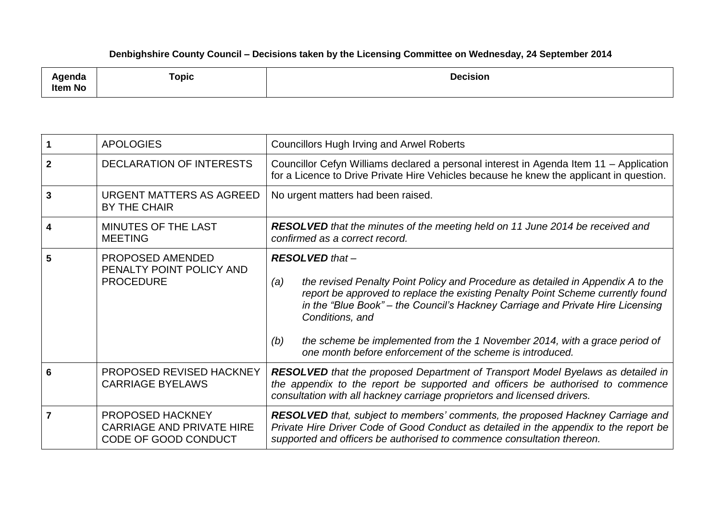## **Denbighshire County Council – Decisions taken by the Licensing Committee on Wednesday, 24 September 2014**

| حالم مرممين<br>ліца<br>Item No | <b>Topic</b> | <b>Decision</b><br>. |
|--------------------------------|--------------|----------------------|
|--------------------------------|--------------|----------------------|

|                | <b>APOLOGIES</b>                                                             | <b>Councillors Hugh Irving and Arwel Roberts</b>                                                                                                                                                                                                                                                                                                                                                                                                           |
|----------------|------------------------------------------------------------------------------|------------------------------------------------------------------------------------------------------------------------------------------------------------------------------------------------------------------------------------------------------------------------------------------------------------------------------------------------------------------------------------------------------------------------------------------------------------|
| $\mathbf{2}$   | <b>DECLARATION OF INTERESTS</b>                                              | Councillor Cefyn Williams declared a personal interest in Agenda Item 11 - Application<br>for a Licence to Drive Private Hire Vehicles because he knew the applicant in question.                                                                                                                                                                                                                                                                          |
| $\overline{3}$ | URGENT MATTERS AS AGREED<br><b>BY THE CHAIR</b>                              | No urgent matters had been raised.                                                                                                                                                                                                                                                                                                                                                                                                                         |
| 4              | MINUTES OF THE LAST<br><b>MEETING</b>                                        | <b>RESOLVED</b> that the minutes of the meeting held on 11 June 2014 be received and<br>confirmed as a correct record.                                                                                                                                                                                                                                                                                                                                     |
| 5              | PROPOSED AMENDED<br>PENALTY POINT POLICY AND<br><b>PROCEDURE</b>             | <b>RESOLVED</b> that -<br>the revised Penalty Point Policy and Procedure as detailed in Appendix A to the<br>(a)<br>report be approved to replace the existing Penalty Point Scheme currently found<br>in the "Blue Book" – the Council's Hackney Carriage and Private Hire Licensing<br>Conditions, and<br>the scheme be implemented from the 1 November 2014, with a grace period of<br>(b)<br>one month before enforcement of the scheme is introduced. |
| 6              | PROPOSED REVISED HACKNEY<br><b>CARRIAGE BYELAWS</b>                          | <b>RESOLVED</b> that the proposed Department of Transport Model Byelaws as detailed in<br>the appendix to the report be supported and officers be authorised to commence<br>consultation with all hackney carriage proprietors and licensed drivers.                                                                                                                                                                                                       |
|                | PROPOSED HACKNEY<br><b>CARRIAGE AND PRIVATE HIRE</b><br>CODE OF GOOD CONDUCT | RESOLVED that, subject to members' comments, the proposed Hackney Carriage and<br>Private Hire Driver Code of Good Conduct as detailed in the appendix to the report be<br>supported and officers be authorised to commence consultation thereon.                                                                                                                                                                                                          |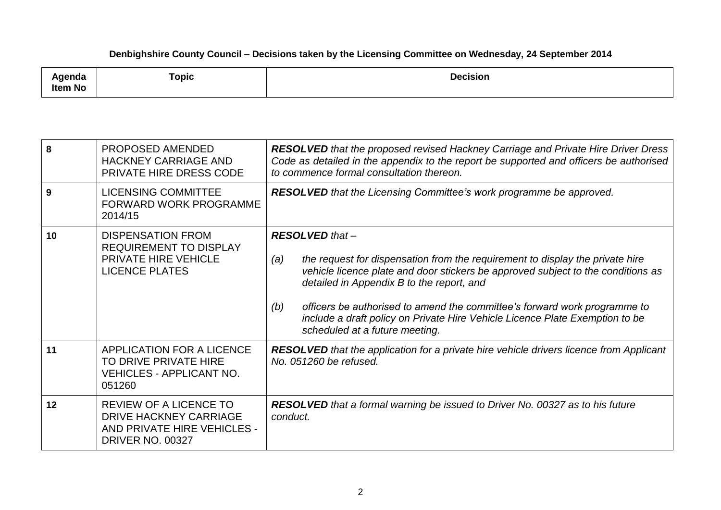## **Denbighshire County Council – Decisions taken by the Licensing Committee on Wednesday, 24 September 2014**

| Agenda<br><b>Item No</b> | <b>Topic</b> | <b>Decision</b> |
|--------------------------|--------------|-----------------|
|--------------------------|--------------|-----------------|

| 8  | PROPOSED AMENDED<br><b>HACKNEY CARRIAGE AND</b><br>PRIVATE HIRE DRESS CODE                                        | <b>RESOLVED</b> that the proposed revised Hackney Carriage and Private Hire Driver Dress<br>Code as detailed in the appendix to the report be supported and officers be authorised<br>to commence formal consultation thereon.                                                                                                                                                                                                                       |
|----|-------------------------------------------------------------------------------------------------------------------|------------------------------------------------------------------------------------------------------------------------------------------------------------------------------------------------------------------------------------------------------------------------------------------------------------------------------------------------------------------------------------------------------------------------------------------------------|
| 9  | <b>LICENSING COMMITTEE</b><br><b>FORWARD WORK PROGRAMME</b><br>2014/15                                            | RESOLVED that the Licensing Committee's work programme be approved.                                                                                                                                                                                                                                                                                                                                                                                  |
| 10 | <b>DISPENSATION FROM</b><br><b>REQUIREMENT TO DISPLAY</b><br><b>PRIVATE HIRE VEHICLE</b><br><b>LICENCE PLATES</b> | <b>RESOLVED that-</b><br>the request for dispensation from the requirement to display the private hire<br>(a)<br>vehicle licence plate and door stickers be approved subject to the conditions as<br>detailed in Appendix B to the report, and<br>officers be authorised to amend the committee's forward work programme to<br>(b)<br>include a draft policy on Private Hire Vehicle Licence Plate Exemption to be<br>scheduled at a future meeting. |
| 11 | <b>APPLICATION FOR A LICENCE</b><br>TO DRIVE PRIVATE HIRE<br><b>VEHICLES - APPLICANT NO.</b><br>051260            | <b>RESOLVED</b> that the application for a private hire vehicle drivers licence from Applicant<br>No. 051260 be refused.                                                                                                                                                                                                                                                                                                                             |
| 12 | <b>REVIEW OF A LICENCE TO</b><br>DRIVE HACKNEY CARRIAGE<br>AND PRIVATE HIRE VEHICLES -<br><b>DRIVER NO. 00327</b> | <b>RESOLVED</b> that a formal warning be issued to Driver No. 00327 as to his future<br>conduct.                                                                                                                                                                                                                                                                                                                                                     |